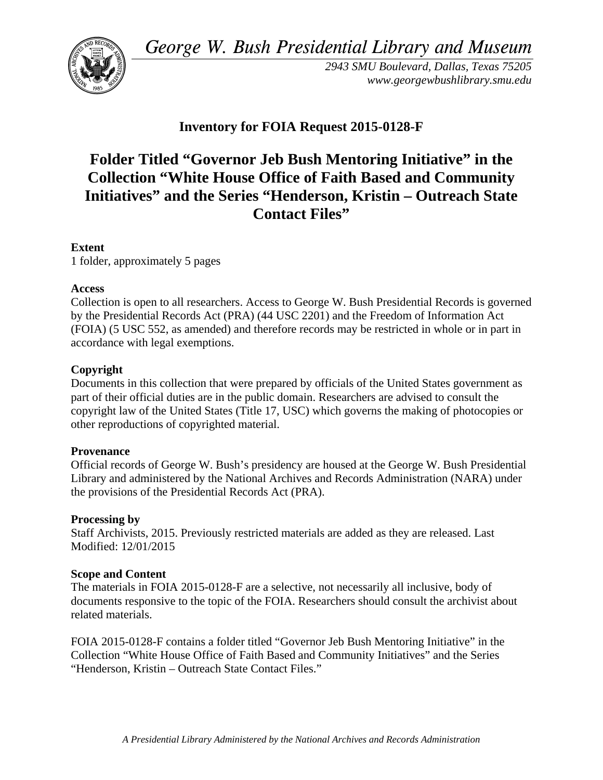*George W. Bush Presidential Library and Museum* 



*2943 SMU Boulevard, Dallas, Texas 75205 <www.georgewbushlibrary.smu.edu>* 

# **Inventory for FOIA Request 2015-0128-F**

# **Folder Titled "Governor Jeb Bush Mentoring Initiative" in the Collection "White House Office of Faith Based and Community Initiatives" and the Series "Henderson, Kristin – Outreach State Contact Files"**

#### **Extent**

1 folder, approximately 5 pages

#### **Access**

Collection is open to all researchers. Access to George W. Bush Presidential Records is governed by the Presidential Records Act (PRA) (44 USC 2201) and the Freedom of Information Act (FOIA) (5 USC 552, as amended) and therefore records may be restricted in whole or in part in accordance with legal exemptions.

# **Copyright**

Documents in this collection that were prepared by officials of the United States government as part of their official duties are in the public domain. Researchers are advised to consult the copyright law of the United States (Title 17, USC) which governs the making of photocopies or other reproductions of copyrighted material.

# **Provenance**

Official records of George W. Bush's presidency are housed at the George W. Bush Presidential Library and administered by the National Archives and Records Administration (NARA) under the provisions of the Presidential Records Act (PRA).

# **Processing by**

Staff Archivists, 2015. Previously restricted materials are added as they are released. Last Modified: 12/01/2015

# **Scope and Content**

The materials in FOIA 2015-0128-F are a selective, not necessarily all inclusive, body of documents responsive to the topic of the FOIA. Researchers should consult the archivist about related materials.

FOIA 2015-0128-F contains a folder titled "Governor Jeb Bush Mentoring Initiative" in the Collection "White House Office of Faith Based and Community Initiatives" and the Series "Henderson, Kristin – Outreach State Contact Files."